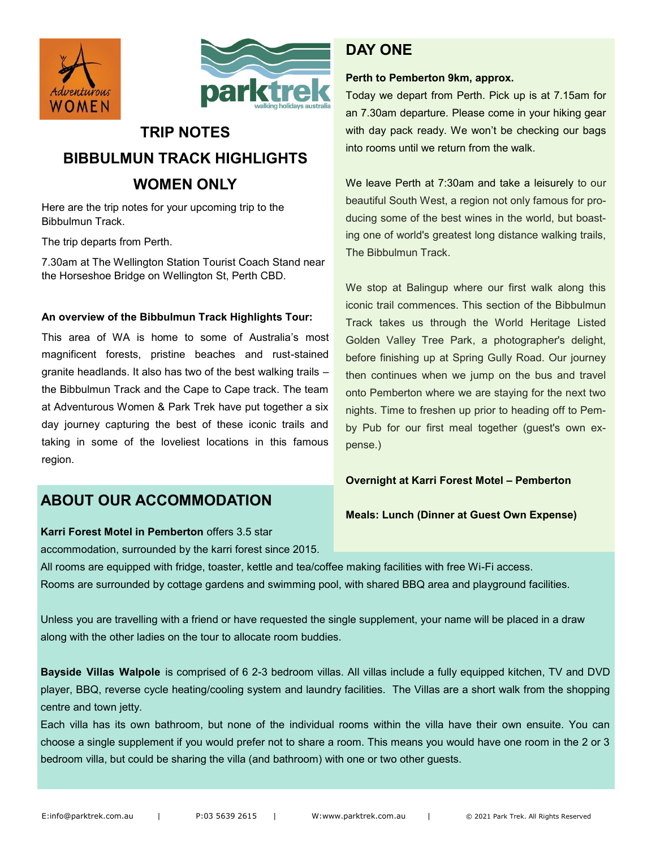



# **TRIP NOTES**

# **BIBBULMUN TRACK HIGHLIGHTS WOMEN ONLY**

Here are the trip notes for your upcoming trip to the Bibbulmun Track.

The trip departs from Perth.

7.30am at The Wellington Station Tourist Coach Stand near the Horseshoe Bridge on Wellington St, Perth CBD.

#### **An overview of the Bibbulmun Track Highlights Tour:**

This area of WA is home to some of Australia's most magnificent forests, pristine beaches and rust-stained granite headlands. It also has two of the best walking trails – the Bibbulmun Track and the Cape to Cape track. The team at Adventurous Women & Park Trek have put together a six day journey capturing the best of these iconic trails and taking in some of the loveliest locations in this famous region.

## **ABOUT OUR ACCOMMODATION**

# **Karri Forest Motel in Pemberton** offers 3.5 star

accommodation, surrounded by the karri forest since 2015.

# **DAY ONE**

#### **Perth to Pemberton 9km, approx.**

Today we depart from Perth. Pick up is at 7.15am for an 7.30am departure. Please come in your hiking gear with day pack ready. We won't be checking our bags into rooms until we return from the walk.

We leave Perth at 7:30am and take a leisurely to our beautiful South West, a region not only famous for producing some of the best wines in the world, but boasting one of world's greatest long distance walking trails, The Bibbulmun Track.

We stop at Balingup where our first walk along this iconic trail commences. This section of the Bibbulmun Track takes us through the World Heritage Listed Golden Valley Tree Park, a photographer's delight, before finishing up at Spring Gully Road. Our journey then continues when we jump on the bus and travel onto Pemberton where we are staying for the next two nights. Time to freshen up prior to heading off to Pemby Pub for our first meal together (guest's own expense.)

#### **Overnight at Karri Forest Motel – Pemberton**

**Meals: Lunch (Dinner at Guest Own Expense)**

All rooms are equipped with fridge, toaster, kettle and tea/coffee making facilities with free Wi-Fi access. Rooms are surrounded by cottage gardens and swimming pool, with shared BBQ area and playground facilities.

Unless you are travelling with a friend or have requested the single supplement, your name will be placed in a draw along with the other ladies on the tour to allocate room buddies.

**Bayside Villas Walpole** is comprised of 6 2-3 bedroom villas. All villas include a fully equipped kitchen, TV and DVD player, BBQ, reverse cycle heating/cooling system and laundry facilities. The Villas are a short walk from the shopping centre and town jetty.

Each villa has its own bathroom, but none of the individual rooms within the villa have their own ensuite. You can choose a single supplement if you would prefer not to share a room. This means you would have one room in the 2 or 3 bedroom villa, but could be sharing the villa (and bathroom) with one or two other guests.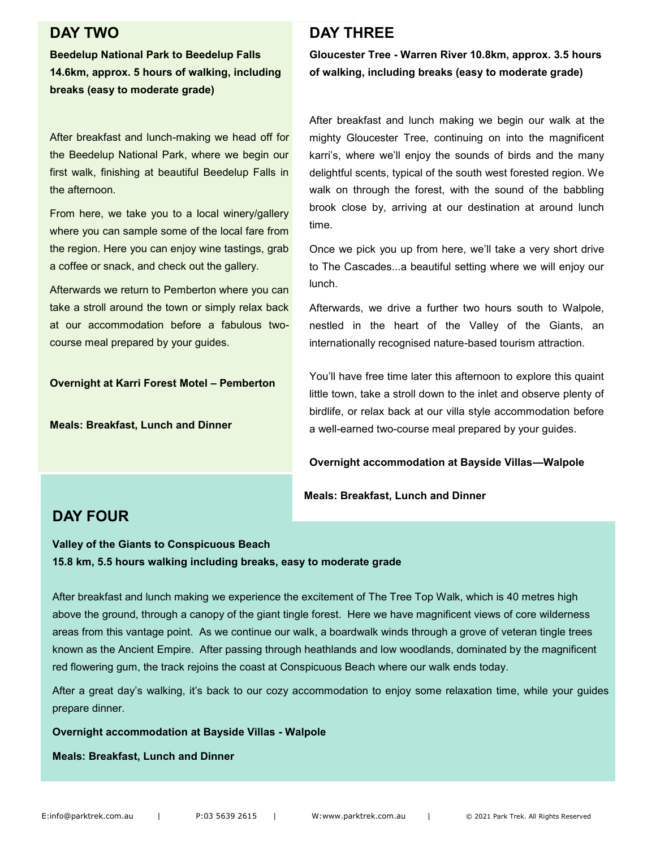### **DAY TWO**

**Beedelup National Park to Beedelup Falls 14.6km, approx. 5 hours of walking, including breaks (easy to moderate grade)**

After breakfast and lunch-making we head off for the Beedelup National Park, where we begin our first walk, finishing at beautiful Beedelup Falls in the afternoon.

From here, we take you to a local winery/gallery where you can sample some of the local fare from the region. Here you can enjoy wine tastings, grab a coffee or snack, and check out the gallery.

Afterwards we return to Pemberton where you can take a stroll around the town or simply relax back at our accommodation before a fabulous twocourse meal prepared by your guides.

**Overnight at Karri Forest Motel – Pemberton**

**Meals: Breakfast, Lunch and Dinner**

## **DAY THREE**

**Gloucester Tree - Warren River 10.8km, approx. 3.5 hours of walking, including breaks (easy to moderate grade)**

After breakfast and lunch making we begin our walk at the mighty Gloucester Tree, continuing on into the magnificent karri's, where we'll enjoy the sounds of birds and the many delightful scents, typical of the south west forested region. We walk on through the forest, with the sound of the babbling brook close by, arriving at our destination at around lunch time.

Once we pick you up from here, we'll take a very short drive to The Cascades...a beautiful setting where we will enjoy our lunch.

Afterwards, we drive a further two hours south to Walpole, nestled in the heart of the Valley of the Giants, an internationally recognised nature-based tourism attraction.

You'll have free time later this afternoon to explore this quaint little town, take a stroll down to the inlet and observe plenty of birdlife, or relax back at our villa style accommodation before a well-earned two-course meal prepared by your guides.

**Overnight accommodation at Bayside Villas—Walpole**

**Meals: Breakfast, Lunch and Dinner**

## **DAY FOUR**

**Valley of the Giants to Conspicuous Beach 15.8 km, 5.5 hours walking including breaks, easy to moderate grade**

After breakfast and lunch making we experience the excitement of The Tree Top Walk, which is 40 metres high above the ground, through a canopy of the giant tingle forest. Here we have magnificent views of core wilderness areas from this vantage point. As we continue our walk, a boardwalk winds through a grove of veteran tingle trees known as the Ancient Empire. After passing through heathlands and low woodlands, dominated by the magnificent red flowering gum, the track rejoins the coast at Conspicuous Beach where our walk ends today.

After a great day's walking, it's back to our cozy accommodation to enjoy some relaxation time, while your guides prepare dinner.

**Overnight accommodation at Bayside Villas - Walpole**

**Meals: Breakfast, Lunch and Dinner**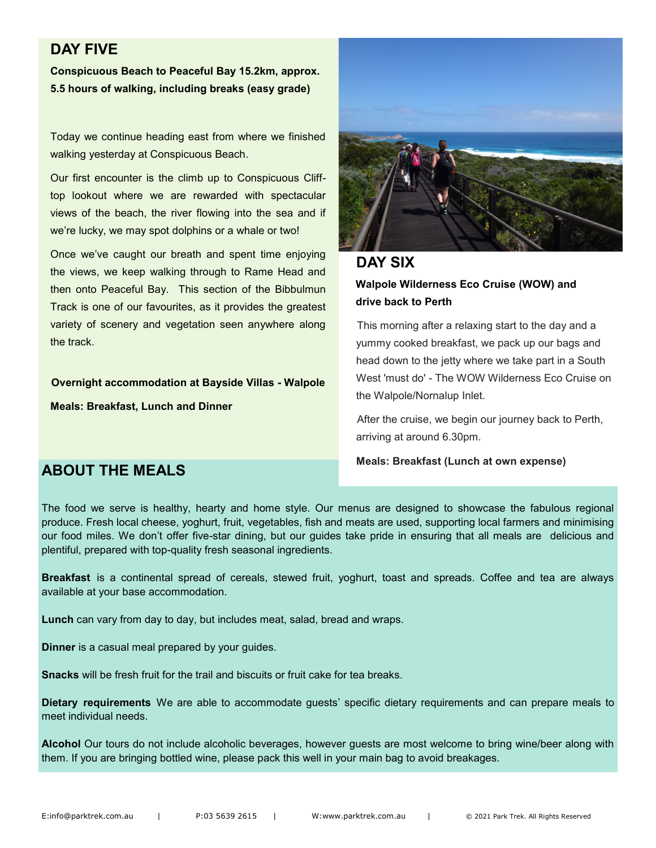## **DAY FIVE**

**Conspicuous Beach to Peaceful Bay 15.2km, approx. 5.5 hours of walking, including breaks (easy grade)**

Today we continue heading east from where we finished walking yesterday at Conspicuous Beach.

Our first encounter is the climb up to Conspicuous Clifftop lookout where we are rewarded with spectacular views of the beach, the river flowing into the sea and if we're lucky, we may spot dolphins or a whale or two!

Once we've caught our breath and spent time enjoying the views, we keep walking through to Rame Head and then onto Peaceful Bay. This section of the Bibbulmun Track is one of our favourites, as it provides the greatest variety of scenery and vegetation seen anywhere along the track.

**Overnight accommodation at Bayside Villas - Walpole**

**Meals: Breakfast, Lunch and Dinner**



### **DAY SIX**

### **Walpole Wilderness Eco Cruise (WOW) and drive back to Perth**

This morning after a relaxing start to the day and a yummy cooked breakfast, we pack up our bags and head down to the jetty where we take part in a South West 'must do' - The WOW Wilderness Eco Cruise on the Walpole/Nornalup Inlet.

After the cruise, we begin our journey back to Perth, arriving at around 6.30pm.

#### **Meals: Breakfast (Lunch at own expense)**

### **ABOUT THE MEALS**

The food we serve is healthy, hearty and home style. Our menus are designed to showcase the fabulous regional produce. Fresh local cheese, yoghurt, fruit, vegetables, fish and meats are used, supporting local farmers and minimising our food miles. We don't offer five-star dining, but our guides take pride in ensuring that all meals are delicious and plentiful, prepared with top-quality fresh seasonal ingredients.

**Breakfast** is a continental spread of cereals, stewed fruit, yoghurt, toast and spreads. Coffee and tea are always available at your base accommodation.

**Lunch** can vary from day to day, but includes meat, salad, bread and wraps.

**Dinner** is a casual meal prepared by your guides.

**Snacks** will be fresh fruit for the trail and biscuits or fruit cake for tea breaks.

**Dietary requirements** We are able to accommodate guests' specific dietary requirements and can prepare meals to meet individual needs.

**Alcohol** Our tours do not include alcoholic beverages, however guests are most welcome to bring wine/beer along with them. If you are bringing bottled wine, please pack this well in your main bag to avoid breakages.